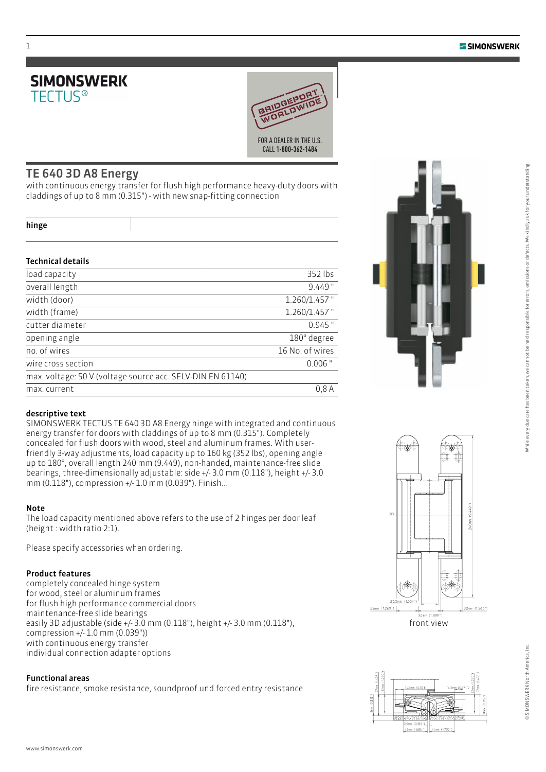



### TE 640 3D A8 Energy

with continuous energy transfer for flush high performance heavy-duty doors with claddings of up to 8 mm (0.315") - with new snap-fitting connection

|  | v |
|--|---|
|  |   |

1

#### Technical details

| load capacity                                              | 352 lbs         |
|------------------------------------------------------------|-----------------|
| overall length                                             | $9.449$ "       |
| width (door)                                               | $1.260/1.457$ " |
| width (frame)                                              | 1.260/1.457"    |
| cutter diameter                                            | $0.945$ "       |
| opening angle                                              | 180° degree     |
| no. of wires                                               | 16 No. of wires |
| wire cross section                                         | $0.006$ "       |
| max. voltage: 50 V (voltage source acc. SELV-DIN EN 61140) |                 |
| max. current                                               | 0.8A            |



SIMONSWERK TECTUS TE 640 3D A8 Energy hinge with integrated and continuous energy transfer for doors with claddings of up to 8 mm (0.315"). Completely concealed for flush doors with wood, steel and aluminum frames. With userfriendly 3-way adjustments, load capacity up to 160 kg (352 lbs), opening angle up to 180°, overall length 240 mm (9.449), non-handed, maintenance-free slide bearings, three-dimensionally adjustable: side +/- 3.0 mm (0.118"), height +/- 3.0 mm (0.118"), compression +/- 1.0 mm (0.039"). Finish...

#### Note

The load capacity mentioned above refers to the use of 2 hinges per door leaf (height : width ratio 2:1).

Please specify accessories when ordering.

#### Product features

completely concealed hinge system for wood, steel or aluminum frames for flush high performance commercial doors maintenance-free slide bearings easily 3D adjustable (side +/- 3.0 mm (0.118"), height +/- 3.0 mm (0.118"), compression +/- 1.0 mm (0.039")) with continuous energy transfer individual connection adapter options

#### Functional areas

fire resistance, smoke resistance, soundproof und forced entry resistance